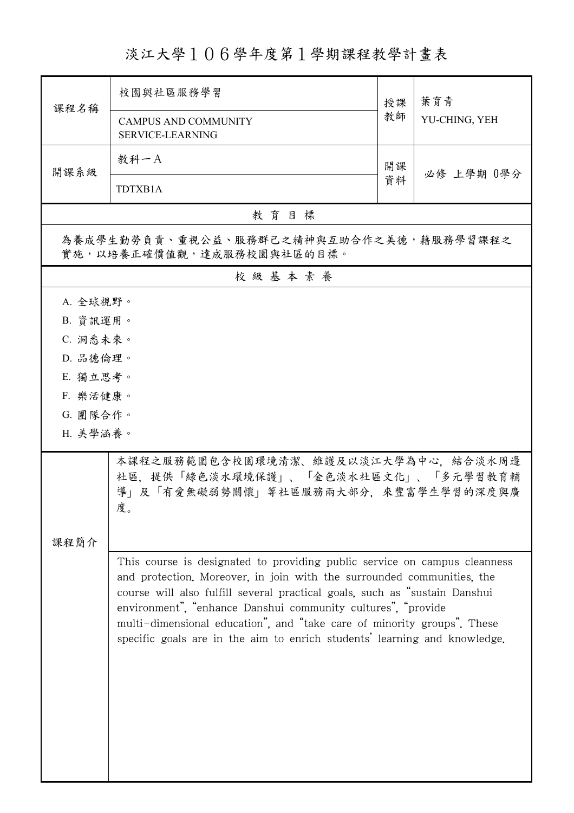## 淡江大學106學年度第1學期課程教學計畫表

|                                                                                                                                                                                                                         | 校園與社區服務學習                                                                                                                                                                                                                                                                                                                                                                                                                                                 | 授課 | 葉育青<br>YU-CHING, YEH |  |  |  |
|-------------------------------------------------------------------------------------------------------------------------------------------------------------------------------------------------------------------------|-----------------------------------------------------------------------------------------------------------------------------------------------------------------------------------------------------------------------------------------------------------------------------------------------------------------------------------------------------------------------------------------------------------------------------------------------------------|----|----------------------|--|--|--|
| 課程名稱                                                                                                                                                                                                                    | <b>CAMPUS AND COMMUNITY</b><br><b>SERVICE-LEARNING</b>                                                                                                                                                                                                                                                                                                                                                                                                    | 教師 |                      |  |  |  |
|                                                                                                                                                                                                                         | 教科一A                                                                                                                                                                                                                                                                                                                                                                                                                                                      | 開課 |                      |  |  |  |
| 開課系級                                                                                                                                                                                                                    | TDTXB1A                                                                                                                                                                                                                                                                                                                                                                                                                                                   | 資料 | 必修 上學期 0學分           |  |  |  |
| 教育目標                                                                                                                                                                                                                    |                                                                                                                                                                                                                                                                                                                                                                                                                                                           |    |                      |  |  |  |
| 為養成學生勤勞負責、重視公益、服務群己之精神與互助合作之美德,藉服務學習課程之<br>實施,以培養正確價值觀,達成服務校園與社區的目標。                                                                                                                                                    |                                                                                                                                                                                                                                                                                                                                                                                                                                                           |    |                      |  |  |  |
| 校級基本素養                                                                                                                                                                                                                  |                                                                                                                                                                                                                                                                                                                                                                                                                                                           |    |                      |  |  |  |
| A. 全球視野。<br>B. 資訊運用。<br>C. 洞悉未來。<br>D. 品德倫理。<br>E. 獨立思考。<br>F. 樂活健康。<br>G. 團隊合作。<br>H. 美學涵養。<br>本課程之服務範圍包含校園環境清潔、維護及以淡江大學為中心,結合淡水周邊<br>社區,提供「綠色淡水環境保護」、「金色淡水社區文化」、「多元學習教育輔<br>導」及「有愛無礙弱勢關懷」等社區服務兩大部分,來豐富學生學習的深度與廣<br>度。 |                                                                                                                                                                                                                                                                                                                                                                                                                                                           |    |                      |  |  |  |
| 课程简介                                                                                                                                                                                                                    | This course is designated to providing public service on campus cleanness<br>and protection. Moreover, in join with the surrounded communities, the<br>course will also fulfill several practical goals, such as "sustain Danshui<br>environment", "enhance Danshui community cultures", "provide<br>multi-dimensional education", and "take care of minority groups". These<br>specific goals are in the aim to enrich students' learning and knowledge. |    |                      |  |  |  |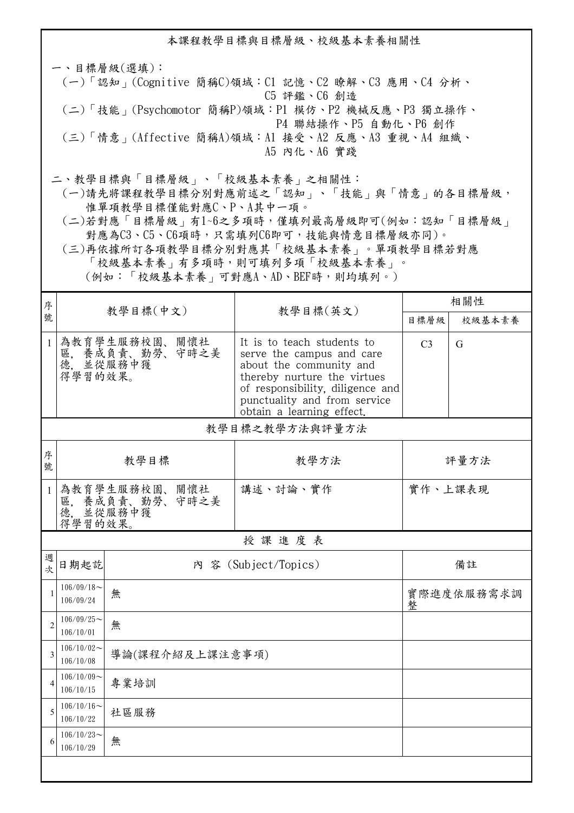本課程教學目標與目標層級、校級基本素養相關性 一、目標層級(選填): (一)「認知」(Cognitive 簡稱C)領域:C1 記憶、C2 瞭解、C3 應用、C4 分析、 C5 評鑑、C6 創造 (二)「技能」(Psychomotor 簡稱P)領域:P1 模仿、P2 機械反應、P3 獨立操作、 P4 聯結操作、P5 自動化、P6 創作 (三)「情意」(Affective 簡稱A)領域:A1 接受、A2 反應、A3 重視、A4 組織、 A5 內化、A6 實踐 二、教學目標與「目標層級」、「校級基本素養」之相關性:

 (一)請先將課程教學目標分別對應前述之「認知」、「技能」與「情意」的各目標層級, 惟單項教學目標僅能對應C、P、A其中一項。

 (二)若對應「目標層級」有1~6之多項時,僅填列最高層級即可(例如:認知「目標層級」 對應為C3、C5、C6項時,只需填列C6即可,技能與情意目標層級亦同)。

 (三)再依據所訂各項教學目標分別對應其「校級基本素養」。單項教學目標若對應 「校級基本素養」有多項時,則可填列多項「校級基本素養」。

(例如:「校級基本素養」可對應A、AD、BEF時,則均填列。)

| 序              | 教學目標(中文)                        |                                               | 教學目標(英文)                                                                                                                                                                                                           | 相關性            |        |  |  |  |
|----------------|---------------------------------|-----------------------------------------------|--------------------------------------------------------------------------------------------------------------------------------------------------------------------------------------------------------------------|----------------|--------|--|--|--|
| 號              |                                 |                                               |                                                                                                                                                                                                                    | 目標層級           | 校級基本素養 |  |  |  |
| $\mathbf{1}$   | 得學習的效果。                         | 為教育學生服務校園、關懷社<br>區, 養成負責、勤勞、守時之美<br>德, 並從服務中獲 | It is to teach students to<br>serve the campus and care<br>about the community and<br>thereby nurture the virtues<br>of responsibility, diligence and<br>punctuality and from service<br>obtain a learning effect. | C <sub>3</sub> | G      |  |  |  |
|                | 教學目標之教學方法與評量方法                  |                                               |                                                                                                                                                                                                                    |                |        |  |  |  |
| 序<br>號         | 教學目標                            |                                               | 教學方法                                                                                                                                                                                                               | 評量方法           |        |  |  |  |
| $\mathbf{1}$   | 得學習的效果。                         | 為教育學生服務校園、關懷社<br>區, 養成負責、勤勞、守時之美<br>德. 並從服務中獲 | 講述、討論、實作                                                                                                                                                                                                           | 實作、上課表現        |        |  |  |  |
|                | 授課進度表                           |                                               |                                                                                                                                                                                                                    |                |        |  |  |  |
| 週<br>次         | 日期起訖                            |                                               | 内 容 (Subject/Topics)                                                                                                                                                                                               | 備註             |        |  |  |  |
| -1             | $106/09/18$ ~<br>無<br>106/09/24 |                                               | 實際進度依服務需求調<br>整                                                                                                                                                                                                    |                |        |  |  |  |
| $\overline{c}$ | $106/09/25$ ~<br>106/10/01      | 無                                             |                                                                                                                                                                                                                    |                |        |  |  |  |
| 3              | $106/10/02$ ~<br>106/10/08      | 導論(課程介紹及上課注意事項)                               |                                                                                                                                                                                                                    |                |        |  |  |  |
|                | $106/10/09$ ~<br>106/10/15      | 專業培訓                                          |                                                                                                                                                                                                                    |                |        |  |  |  |
| 5              | $106/10/16 \sim$<br>106/10/22   | 社區服務                                          |                                                                                                                                                                                                                    |                |        |  |  |  |
|                | $106/10/23$ ~<br>106/10/29      | 無                                             |                                                                                                                                                                                                                    |                |        |  |  |  |
|                |                                 |                                               |                                                                                                                                                                                                                    |                |        |  |  |  |